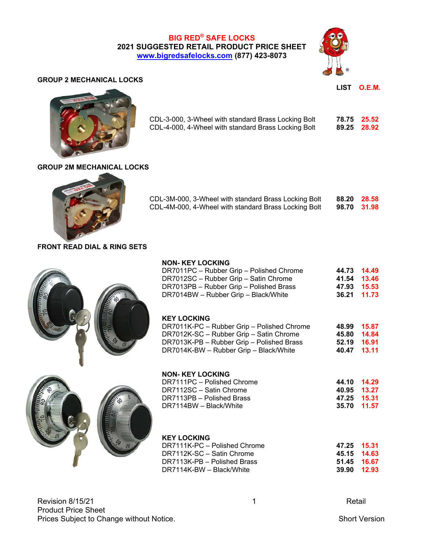**BIG RED® SAFE LOCKS 2021 SUGGESTED RETAIL PRODUCT PRICE SHEET www.bigredsafelocks.com (877) 423-8073**



#### **GROUP 2 MECHANICAL LOCKS**

 **LIST O.E.M.** 



| CDL-3-000, 3-Wheel with standard Brass Locking Bolt | 78.75 25.52 |  |
|-----------------------------------------------------|-------------|--|
| CDL-4-000, 4-Wheel with standard Brass Locking Bolt | 89.25 28.92 |  |

#### **GROUP 2M MECHANICAL LOCKS**



| CDL-3M-000, 3-Wheel with standard Brass Locking Bolt | 88.20 28.58 |  |
|------------------------------------------------------|-------------|--|
| CDL-4M-000, 4-Wheel with standard Brass Locking Bolt | 98.70 31.98 |  |

# **FRONT READ DIAL & RING SETS**

# **NON- KEY LOCKING**

| DR7011PC - Rubber Grip - Polished Chrome |             | 44.73 14.49 |
|------------------------------------------|-------------|-------------|
| DR7012SC – Rubber Grip – Satin Chrome    |             | 41.54 13.46 |
| DR7013PB - Rubber Grip - Polished Brass  | 47.93 15.53 |             |
| DR7014BW - Rubber Grip - Black/White     |             | 36.21 11.73 |

#### **KEY LOCKING**

| DR7011K-PC - Rubber Grip - Polished Chrome | 48.99 15.87 |  |
|--------------------------------------------|-------------|--|
| DR7012K-SC - Rubber Grip - Satin Chrome    | 45.80 14.84 |  |
| DR7013K-PB - Rubber Grip - Polished Brass  | 52.19 16.91 |  |
| DR7014K-BW - Rubber Grip - Black/White     | 40.47 13.11 |  |



| <b>NON-KEY LOCKING</b>     |             |             |
|----------------------------|-------------|-------------|
| DR7111PC - Polished Chrome |             | 44.10 14.29 |
| DR7112SC - Satin Chrome    | 40.95 13.27 |             |
| DR7113PB - Polished Brass  | 47.25 15.31 |             |
| DR7114BW - Black/White     | 35.70 11.57 |             |

# **KEY LOCKING**

| DR7111K-PC - Polished Chrome | 47.25 15.31 |             |
|------------------------------|-------------|-------------|
| DR7112K-SC - Satin Chrome    |             | 45.15 14.63 |
| DR7113K-PB – Polished Brass  |             | 51.45 16.67 |
| DR7114K-BW - Black/White     |             | 39.90 12.93 |

Revision 8/15/21 **New Search 2018** 1 **Revision 8/15/21** Product Price Sheet Prices Subject to Change without Notice. Short Version Short Version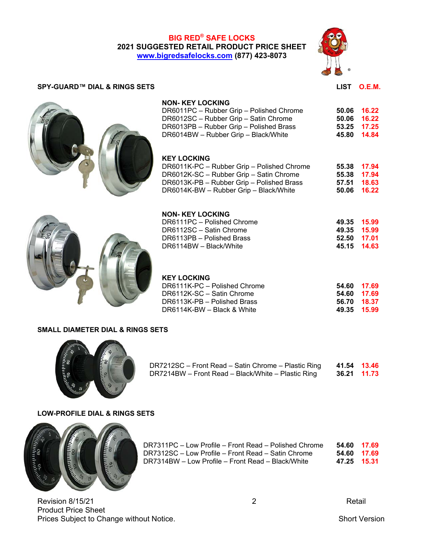# **BIG RED® SAFE LOCKS 2021 SUGGESTED RETAIL PRODUCT PRICE SHEET www.bigredsafelocks.com (877) 423-8073**



#### SPY-GUARD™ DIAL & RINGS SETS **DEMA** DIAL & RINGS SETS **LIST** O.E.M.



| DR6012SC - Rubber Grip - Satin Chrome   |             | 50.06 16.22 |
|-----------------------------------------|-------------|-------------|
| DR6013PB - Rubber Grip - Polished Brass | 53.25 17.25 |             |
| DR6014BW - Rubber Grip - Black/White    | 45.80 14.84 |             |
|                                         |             |             |
|                                         |             |             |
| KEY LOCKING                             |             |             |

DR6011PC – Rubber Grip – Polished Chrome **50.06 16.22**

#### **KEY LOCKING**

**NON- KEY LOCKING** 

| DR6011K-PC - Rubber Grip - Polished Chrome |             | 55.38 17.94 |
|--------------------------------------------|-------------|-------------|
| DR6012K-SC - Rubber Grip - Satin Chrome    |             | 55.38 17.94 |
| DR6013K-PB - Rubber Grip - Polished Brass  | 57.51 18.63 |             |
| DR6014K-BW - Rubber Grip - Black/White     |             | 50.06 16.22 |



| 49.35 15.99 |  |
|-------------|--|
| 49.35 15.99 |  |
| 52.50 17.01 |  |
| 45.15 14.63 |  |
|             |  |

# **KEY LOCKING**

| DR6111K-PC - Polished Chrome | 54.60 17.69 |
|------------------------------|-------------|
| DR6112K-SC - Satin Chrome    | 54.60 17.69 |
| DR6113K-PB - Polished Brass  | 56.70 18.37 |
| DR6114K-BW – Black & White   | 49.35 15.99 |

#### **SMALL DIAMETER DIAL & RINGS SETS**



| DR7212SC – Front Read – Satin Chrome – Plastic Ring | 41.54 13.46 |  |
|-----------------------------------------------------|-------------|--|
| DR7214BW – Front Read – Black/White – Plastic Ring  | 36.21 11.73 |  |

#### **LOW-PROFILE DIAL & RINGS SETS**



| DR7311PC – Low Profile – Front Read – Polished Chrome | 54.60 17.69 |  |
|-------------------------------------------------------|-------------|--|
| DR7312SC – Low Profile – Front Read – Satin Chrome    | 54.60 17.69 |  |
| DR7314BW - Low Profile - Front Read - Black/White     | 47.25 15.31 |  |

Revision 8/15/21 **2** Retail Product Price Sheet Prices Subject to Change without Notice. Short Version Short Version